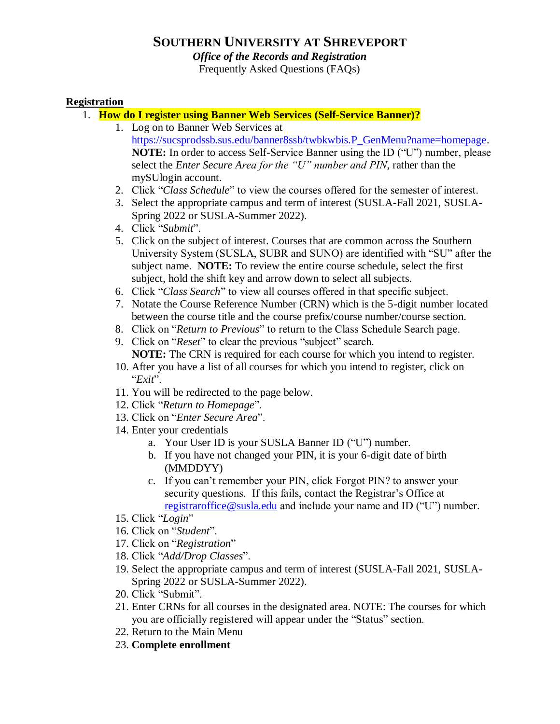# **SOUTHERN UNIVERSITY AT SHREVEPORT**

# *Office of the Records and Registration*

Frequently Asked Questions (FAQs)

#### **Registration**

- 1. **How do I register using Banner Web Services (Self-Service Banner)?**
	- 1. Log on to Banner Web Services at [https://sucsprodssb.sus.edu/banner8ssb/twbkwbis.P\\_GenMenu?name=homepage.](https://sucsprodssb.sus.edu/banner8ssb/twbkwbis.P_GenMenu?name=homepage) **NOTE:** In order to access Self-Service Banner using the ID ("U") number, please select the *Enter Secure Area for the "U" number and PIN*, rather than the mySUlogin account.
	- 2. Click "*Class Schedule*" to view the courses offered for the semester of interest.
	- 3. Select the appropriate campus and term of interest (SUSLA-Fall 2021, SUSLA-Spring 2022 or SUSLA-Summer 2022).
	- 4. Click "*Submit*".
	- 5. Click on the subject of interest. Courses that are common across the Southern University System (SUSLA, SUBR and SUNO) are identified with "SU" after the subject name. **NOTE:** To review the entire course schedule, select the first subject, hold the shift key and arrow down to select all subjects.
	- 6. Click "*Class Search*" to view all courses offered in that specific subject.
	- 7. Notate the Course Reference Number (CRN) which is the 5-digit number located between the course title and the course prefix/course number/course section.
	- 8. Click on "*Return to Previous*" to return to the Class Schedule Search page.
	- 9. Click on "*Reset*" to clear the previous "subject" search. **NOTE:** The CRN is required for each course for which you intend to register.
	- 10. After you have a list of all courses for which you intend to register, click on "*Exit*".
	- 11. You will be redirected to the page below.
	- 12. Click "*Return to Homepage*".
	- 13. Click on "*Enter Secure Area*".
	- 14. Enter your credentials
		- a. Your User ID is your SUSLA Banner ID ("U") number.
		- b. If you have not changed your PIN, it is your 6-digit date of birth (MMDDYY)
		- c. If you can't remember your PIN, click Forgot PIN? to answer your security questions. If this fails, contact the Registrar's Office at [registraroffice@susla.edu](mailto:registraroffice@susla.edu) and include your name and ID ("U") number.
	- 15. Click "*Login*"
	- 16. Click on "*Student*".
	- 17. Click on "*Registration*"
	- 18. Click "*Add/Drop Classes*".
	- 19. Select the appropriate campus and term of interest (SUSLA-Fall 2021, SUSLA-Spring 2022 or SUSLA-Summer 2022).
	- 20. Click "Submit".
	- 21. Enter CRNs for all courses in the designated area. NOTE: The courses for which you are officially registered will appear under the "Status" section.
	- 22. Return to the Main Menu
	- 23. **Complete enrollment**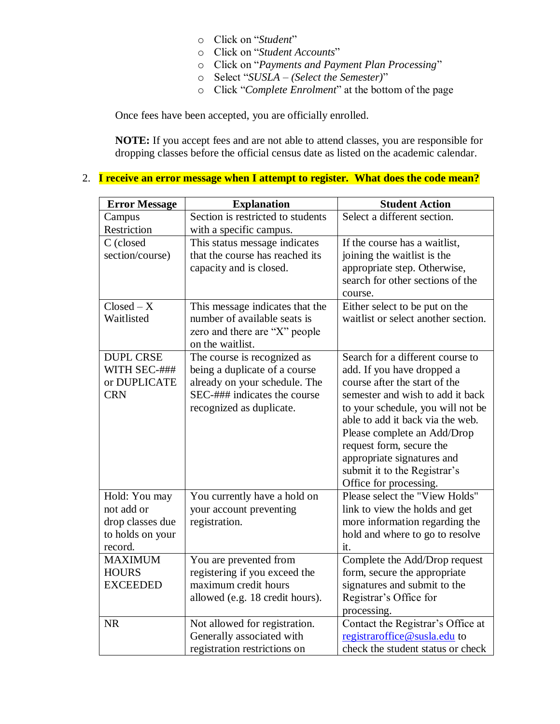- o Click on "*Student*"
- o Click on "*Student Accounts*"
- o Click on "*Payments and Payment Plan Processing*"
- o Select "*SUSLA – (Select the Semester)*"
- o Click "*Complete Enrolment*" at the bottom of the page

Once fees have been accepted, you are officially enrolled.

**NOTE:** If you accept fees and are not able to attend classes, you are responsible for dropping classes before the official census date as listed on the academic calendar.

# 2. **I receive an error message when I attempt to register. What does the code mean?**

| <b>Error Message</b> | <b>Explanation</b>                | <b>Student Action</b>               |  |  |
|----------------------|-----------------------------------|-------------------------------------|--|--|
| Campus               | Section is restricted to students | Select a different section.         |  |  |
| Restriction          | with a specific campus.           |                                     |  |  |
| C (closed            | This status message indicates     | If the course has a waitlist,       |  |  |
| section/course)      | that the course has reached its   | joining the waitlist is the         |  |  |
|                      | capacity and is closed.           | appropriate step. Otherwise,        |  |  |
|                      |                                   | search for other sections of the    |  |  |
|                      |                                   | course.                             |  |  |
| $Closed - X$         | This message indicates that the   | Either select to be put on the      |  |  |
| Waitlisted           | number of available seats is      | waitlist or select another section. |  |  |
|                      | zero and there are "X" people     |                                     |  |  |
|                      | on the waitlist.                  |                                     |  |  |
| <b>DUPL CRSE</b>     | The course is recognized as       | Search for a different course to    |  |  |
| WITH SEC-###         | being a duplicate of a course     | add. If you have dropped a          |  |  |
| or DUPLICATE         | already on your schedule. The     | course after the start of the       |  |  |
| <b>CRN</b>           | SEC-### indicates the course      | semester and wish to add it back    |  |  |
|                      | recognized as duplicate.          | to your schedule, you will not be   |  |  |
|                      |                                   | able to add it back via the web.    |  |  |
|                      |                                   | Please complete an Add/Drop         |  |  |
|                      |                                   | request form, secure the            |  |  |
|                      |                                   | appropriate signatures and          |  |  |
|                      |                                   | submit it to the Registrar's        |  |  |
|                      |                                   | Office for processing.              |  |  |
| Hold: You may        | You currently have a hold on      | Please select the "View Holds"      |  |  |
| not add or           | your account preventing           | link to view the holds and get      |  |  |
| drop classes due     | registration.                     | more information regarding the      |  |  |
| to holds on your     |                                   | hold and where to go to resolve     |  |  |
| record.              |                                   | it.                                 |  |  |
| <b>MAXIMUM</b>       | You are prevented from            | Complete the Add/Drop request       |  |  |
| <b>HOURS</b>         | registering if you exceed the     | form, secure the appropriate        |  |  |
| <b>EXCEEDED</b>      | maximum credit hours              | signatures and submit to the        |  |  |
|                      | allowed (e.g. 18 credit hours).   | Registrar's Office for              |  |  |
|                      |                                   | processing.                         |  |  |
| <b>NR</b>            | Not allowed for registration.     | Contact the Registrar's Office at   |  |  |
|                      | Generally associated with         | registraroffice@susla.edu to        |  |  |
|                      | registration restrictions on      | check the student status or check   |  |  |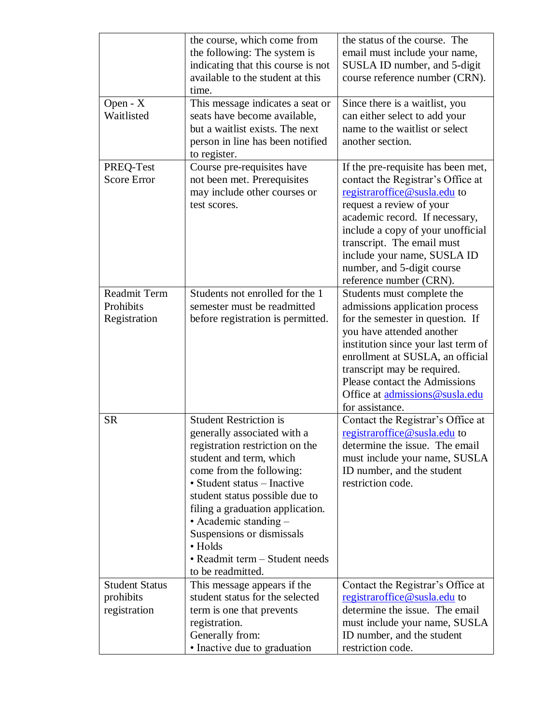|                       | the course, which come from                                    | the status of the course. The                                  |  |  |
|-----------------------|----------------------------------------------------------------|----------------------------------------------------------------|--|--|
|                       | the following: The system is                                   | email must include your name,                                  |  |  |
|                       | indicating that this course is not                             | SUSLA ID number, and 5-digit                                   |  |  |
|                       | available to the student at this                               | course reference number (CRN).                                 |  |  |
|                       | time.                                                          |                                                                |  |  |
| Open - X              | This message indicates a seat or                               | Since there is a waitlist, you                                 |  |  |
| Waitlisted            | seats have become available,                                   | can either select to add your                                  |  |  |
|                       | but a waitlist exists. The next                                | name to the waitlist or select                                 |  |  |
|                       | person in line has been notified                               | another section.                                               |  |  |
|                       | to register.                                                   |                                                                |  |  |
| PREQ-Test             | Course pre-requisites have                                     | If the pre-requisite has been met,                             |  |  |
| <b>Score Error</b>    | not been met. Prerequisites                                    | contact the Registrar's Office at                              |  |  |
|                       | may include other courses or                                   | registraroffice@susla.edu to                                   |  |  |
|                       | test scores.                                                   | request a review of your                                       |  |  |
|                       |                                                                | academic record. If necessary,                                 |  |  |
|                       |                                                                | include a copy of your unofficial                              |  |  |
|                       |                                                                | transcript. The email must                                     |  |  |
|                       |                                                                | include your name, SUSLA ID                                    |  |  |
|                       |                                                                | number, and 5-digit course                                     |  |  |
|                       |                                                                | reference number (CRN).                                        |  |  |
| Readmit Term          | Students not enrolled for the 1                                | Students must complete the                                     |  |  |
| Prohibits             | semester must be readmitted                                    | admissions application process                                 |  |  |
| Registration          | before registration is permitted.                              | for the semester in question. If                               |  |  |
|                       |                                                                | you have attended another                                      |  |  |
|                       |                                                                | institution since your last term of                            |  |  |
|                       |                                                                | enrollment at SUSLA, an official                               |  |  |
|                       |                                                                | transcript may be required.                                    |  |  |
|                       |                                                                | Please contact the Admissions                                  |  |  |
|                       |                                                                | Office at admissions@susla.edu                                 |  |  |
|                       | <b>Student Restriction is</b>                                  | for assistance.                                                |  |  |
| <b>SR</b>             |                                                                | Contact the Registrar's Office at                              |  |  |
|                       | generally associated with a<br>registration restriction on the | registraroffice@susla.edu to<br>determine the issue. The email |  |  |
|                       | student and term, which                                        | must include your name, SUSLA                                  |  |  |
|                       | come from the following:                                       | ID number, and the student                                     |  |  |
|                       | • Student status - Inactive                                    | restriction code.                                              |  |  |
|                       | student status possible due to                                 |                                                                |  |  |
|                       | filing a graduation application.                               |                                                                |  |  |
|                       | • Academic standing $-$                                        |                                                                |  |  |
|                       | Suspensions or dismissals                                      |                                                                |  |  |
|                       | • Holds                                                        |                                                                |  |  |
|                       | • Readmit term - Student needs                                 |                                                                |  |  |
|                       | to be readmitted.                                              |                                                                |  |  |
| <b>Student Status</b> | This message appears if the                                    | Contact the Registrar's Office at                              |  |  |
| prohibits             | student status for the selected                                | registraroffice@susla.edu to                                   |  |  |
| registration          | term is one that prevents                                      | determine the issue. The email                                 |  |  |
|                       | registration.                                                  | must include your name, SUSLA                                  |  |  |
|                       | Generally from:                                                | ID number, and the student                                     |  |  |
|                       | • Inactive due to graduation                                   | restriction code.                                              |  |  |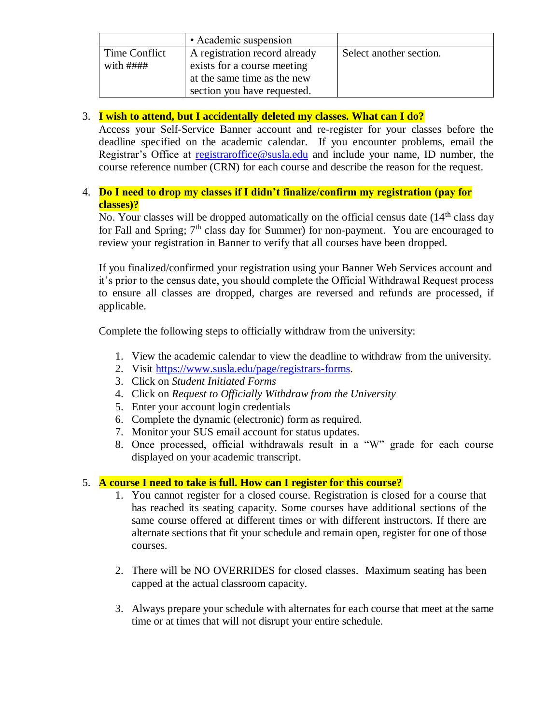|                    | • Academic suspension         |                         |
|--------------------|-------------------------------|-------------------------|
| Time Conflict      | A registration record already | Select another section. |
| with $\# \# \# \#$ | exists for a course meeting   |                         |
|                    | at the same time as the new   |                         |
|                    | section you have requested.   |                         |

### 3. **I wish to attend, but I accidentally deleted my classes. What can I do?**

Access your Self-Service Banner account and re-register for your classes before the deadline specified on the academic calendar. If you encounter problems, email the Registrar's Office at [registraroffice@susla.edu](mailto:registraroffice@susla.edu) and include your name, ID number, the course reference number (CRN) for each course and describe the reason for the request.

### 4. **Do I need to drop my classes if I didn't finalize/confirm my registration (pay for classes)?**

No. Your classes will be dropped automatically on the official census date  $(14<sup>th</sup>$  class day for Fall and Spring;  $7<sup>th</sup>$  class day for Summer) for non-payment. You are encouraged to review your registration in Banner to verify that all courses have been dropped.

If you finalized/confirmed your registration using your Banner Web Services account and it's prior to the census date, you should complete the Official Withdrawal Request process to ensure all classes are dropped, charges are reversed and refunds are processed, if applicable.

Complete the following steps to officially withdraw from the university:

- 1. View the academic calendar to view the deadline to withdraw from the university.
- 2. Visit [https://www.susla.edu/page/registrars-forms.](https://www.susla.edu/page/registrars-forms)
- 3. Click on *Student Initiated Forms*
- 4. Click on *Request to Officially Withdraw from the University*
- 5. Enter your account login credentials
- 6. Complete the dynamic (electronic) form as required.
- 7. Monitor your SUS email account for status updates.
- 8. Once processed, official withdrawals result in a "W" grade for each course displayed on your academic transcript.

#### 5. **A course I need to take is full. How can I register for this course?**

- 1. You cannot register for a closed course. Registration is closed for a course that has reached its seating capacity. Some courses have additional sections of the same course offered at different times or with different instructors. If there are alternate sections that fit your schedule and remain open, register for one of those courses.
- 2. There will be NO OVERRIDES for closed classes. Maximum seating has been capped at the actual classroom capacity.
- 3. Always prepare your schedule with alternates for each course that meet at the same time or at times that will not disrupt your entire schedule.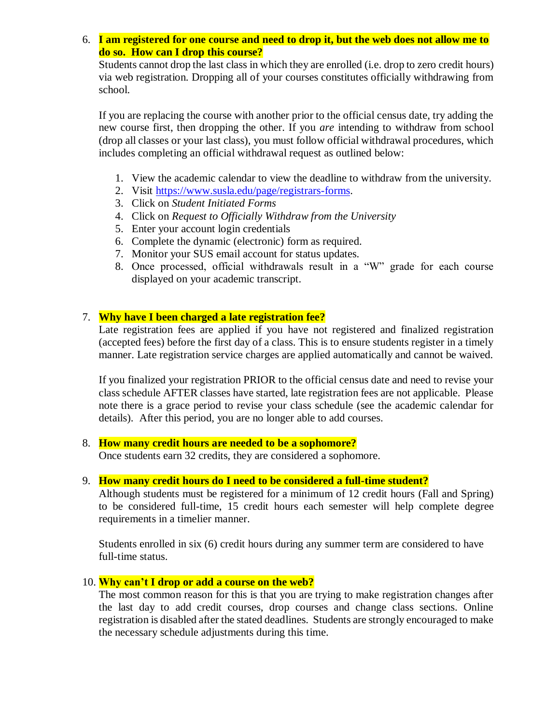6. **I am registered for one course and need to drop it, but the web does not allow me to do so. How can I drop this course?**

Students cannot drop the last class in which they are enrolled (i.e. drop to zero credit hours) via web registration. Dropping all of your courses constitutes officially withdrawing from school.

If you are replacing the course with another prior to the official census date, try adding the new course first, then dropping the other. If you *are* intending to withdraw from school (drop all classes or your last class), you must follow official withdrawal procedures, which includes completing an official withdrawal request as outlined below:

- 1. View the academic calendar to view the deadline to withdraw from the university.
- 2. Visit [https://www.susla.edu/page/registrars-forms.](https://www.susla.edu/page/registrars-forms)
- 3. Click on *Student Initiated Forms*
- 4. Click on *Request to Officially Withdraw from the University*
- 5. Enter your account login credentials
- 6. Complete the dynamic (electronic) form as required.
- 7. Monitor your SUS email account for status updates.
- 8. Once processed, official withdrawals result in a "W" grade for each course displayed on your academic transcript.

#### 7. **Why have I been charged a late registration fee?**

[Late registration fees](http://www.du.edu/registrar/regbill/reg_latefees.html) are applied if you have not registered and finalized registration (accepted fees) before the first day of a class. This is to ensure students register in a timely manner. Late registration service charges are applied automatically and cannot be waived.

If you finalized your registration PRIOR to the official census date and need to revise your class schedule AFTER classes have started, late registration fees are not applicable. Please note there is a grace period to revise your class schedule (see the academic calendar for details). After this period, you are no longer able to add courses.

- 8. **How many credit hours are needed to be a sophomore?** Once students earn 32 credits, they are considered a sophomore.
- 9. **How many credit hours do I need to be considered a full-time student?**

Although students must be registered for a minimum of 12 credit hours (Fall and Spring) to be considered full-time, 15 credit hours each semester will help complete degree requirements in a timelier manner.

Students enrolled in six (6) credit hours during any summer term are considered to have full-time status.

#### 10. **Why can't I drop or add a course on the web?**

The most common reason for this is that you are trying to make registration changes after the last day to add credit courses, drop courses and change class sections. Online registration is disabled after the stated deadlines. Students are strongly encouraged to make the necessary schedule adjustments during this time.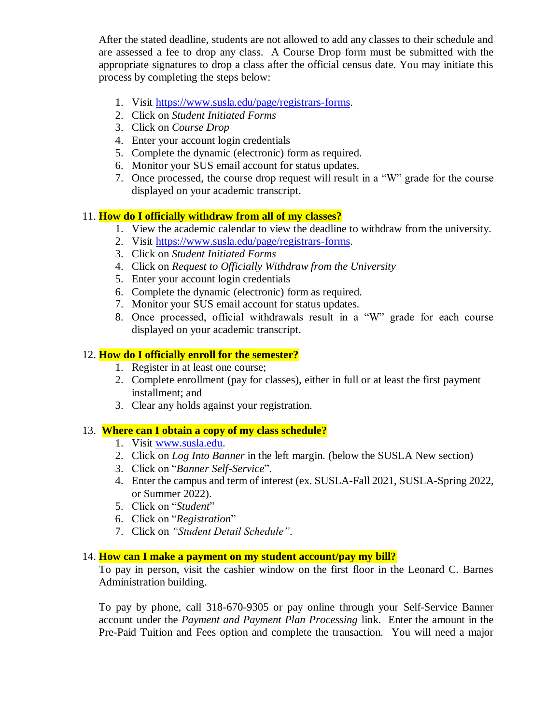After the stated deadline, students are not allowed to add any classes to their schedule and are assessed a fee to drop any class. A Course Drop form must be submitted with the appropriate signatures to drop a class after the official census date. You may initiate this process by completing the steps below:

- 1. Visit [https://www.susla.edu/page/registrars-forms.](https://www.susla.edu/page/registrars-forms)
- 2. Click on *Student Initiated Forms*
- 3. Click on *Course Drop*
- 4. Enter your account login credentials
- 5. Complete the dynamic (electronic) form as required.
- 6. Monitor your SUS email account for status updates.
- 7. Once processed, the course drop request will result in a "W" grade for the course displayed on your academic transcript.

### 11. **How do I officially withdraw from all of my classes?**

- 1. View the academic calendar to view the deadline to withdraw from the university.
- 2. Visit [https://www.susla.edu/page/registrars-forms.](https://www.susla.edu/page/registrars-forms)
- 3. Click on *Student Initiated Forms*
- 4. Click on *Request to Officially Withdraw from the University*
- 5. Enter your account login credentials
- 6. Complete the dynamic (electronic) form as required.
- 7. Monitor your SUS email account for status updates.
- 8. Once processed, official withdrawals result in a "W" grade for each course displayed on your academic transcript.

#### 12. **How do I officially enroll for the semester?**

- 1. Register in at least one course;
- 2. Complete enrollment (pay for classes), either in full or at least the first payment installment; and
- 3. Clear any holds against your registration.

#### 13. **Where can I obtain a copy of my class schedule?**

- 1. Visit [www.susla.edu.](http://www.susla.edu/)
- 2. Click on *Log Into Banner* in the left margin. (below the SUSLA New section)
- 3. Click on "*Banner Self-Service*".
- 4. Enter the campus and term of interest (ex. SUSLA-Fall 2021, SUSLA-Spring 2022, or Summer 2022).
- 5. Click on "*Student*"
- 6. Click on "*Registration*"
- 7. Click on *"Student Detail Schedule"*.

#### 14. **How can I make a payment on my student account/pay my bill?**

To pay in person, visit the cashier window on the first floor in the Leonard C. Barnes Administration building.

To pay by phone, call 318-670-9305 or pay online through your Self-Service Banner account under the *Payment and Payment Plan Processing* link. Enter the amount in the Pre-Paid Tuition and Fees option and complete the transaction. You will need a major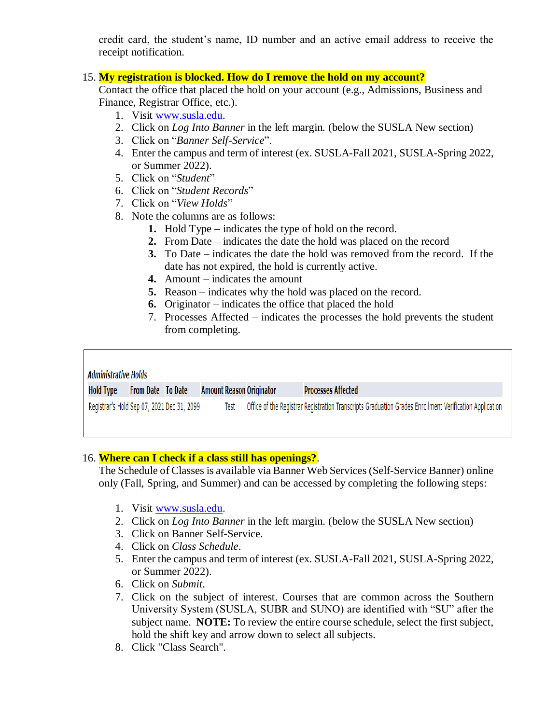credit card, the student's name, ID number and an active email address to receive the receipt notification.

### 15. **My registration is blocked. How do I remove the hold on my account?**

Contact the office that placed the hold on your account (e.g., Admissions, Business and Finance, Registrar Office, etc.).

- 1. Visit [www.susla.edu.](http://www.susla.edu/)
- 2. Click on *Log Into Banner* in the left margin. (below the SUSLA New section)
- 3. Click on "*Banner Self-Service*".
- 4. Enter the campus and term of interest (ex. SUSLA-Fall 2021, SUSLA-Spring 2022, or Summer 2022).
- 5. Click on "*Student*"

 $\sqrt{ }$ 

- 6. Click on "*Student Records*"
- 7. Click on "*View Holds*"
- 8. Note the columns are as follows:
	- **1.** Hold Type indicates the type of hold on the record.
	- **2.** From Date indicates the date the hold was placed on the record
	- **3.** To Date indicates the date the hold was removed from the record. If the date has not expired, the hold is currently active.
	- **4.** Amount indicates the amount
	- **5.** Reason indicates why the hold was placed on the record.
	- **6.** Originator indicates the office that placed the hold
	- 7. Processes Affected indicates the processes the hold prevents the student from completing.

٦

| <b>Administrative Holds</b>                |                          |  |                                 |  |                                                                                                        |
|--------------------------------------------|--------------------------|--|---------------------------------|--|--------------------------------------------------------------------------------------------------------|
| Hold Type                                  | <b>From Date To Date</b> |  | <b>Amount Reason Originator</b> |  | <b>Processes Affected</b>                                                                              |
| Registrar's Hold Sep 07, 2021 Dec 31, 2099 |                          |  | Test                            |  | Office of the Registrar Registration Transcripts Graduation Grades Enrollment Verification Application |

### 16. **Where can I check if a class still has openings?**.

The Schedule of Classes is available via Banner Web Services (Self-Service Banner) online only (Fall, Spring, and Summer) and can be accessed by completing the following steps:

- 1. Visit [www.susla.edu.](http://www.susla.edu/)
- 2. Click on *Log Into Banner* in the left margin. (below the SUSLA New section)
- 3. Click on Banner Self-Service.
- 4. Click on *Class Schedule*.
- 5. Enter the campus and term of interest (ex. SUSLA-Fall 2021, SUSLA-Spring 2022, or Summer 2022).
- 6. Click on *Submit*.
- 7. Click on the subject of interest. Courses that are common across the Southern University System (SUSLA, SUBR and SUNO) are identified with "SU" after the subject name. **NOTE:** To review the entire course schedule, select the first subject, hold the shift key and arrow down to select all subjects.
- 8. Click "Class Search".